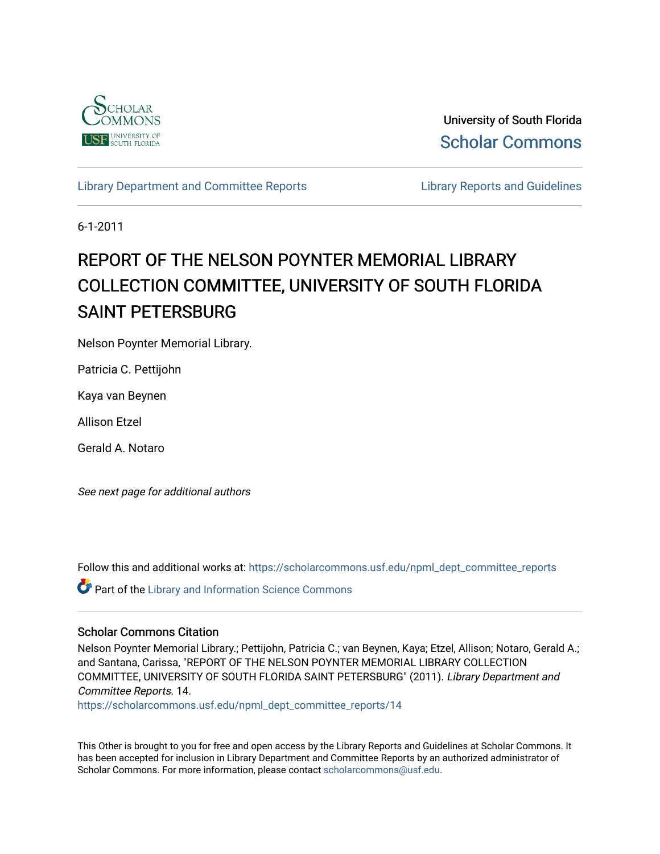

University of South Florida [Scholar Commons](https://scholarcommons.usf.edu/) 

[Library Department and Committee Reports](https://scholarcommons.usf.edu/npml_dept_committee_reports) **Library Reports and Guidelines** 

6-1-2011

# REPORT OF THE NELSON POYNTER MEMORIAL LIBRARY COLLECTION COMMITTEE, UNIVERSITY OF SOUTH FLORIDA SAINT PETERSBURG

Nelson Poynter Memorial Library.

Patricia C. Pettijohn

Kaya van Beynen

Allison Etzel

Gerald A. Notaro

See next page for additional authors

Follow this and additional works at: [https://scholarcommons.usf.edu/npml\\_dept\\_committee\\_reports](https://scholarcommons.usf.edu/npml_dept_committee_reports?utm_source=scholarcommons.usf.edu%2Fnpml_dept_committee_reports%2F14&utm_medium=PDF&utm_campaign=PDFCoverPages)

**P** Part of the Library and Information Science Commons

## Scholar Commons Citation

Nelson Poynter Memorial Library.; Pettijohn, Patricia C.; van Beynen, Kaya; Etzel, Allison; Notaro, Gerald A.; and Santana, Carissa, "REPORT OF THE NELSON POYNTER MEMORIAL LIBRARY COLLECTION COMMITTEE, UNIVERSITY OF SOUTH FLORIDA SAINT PETERSBURG" (2011). Library Department and Committee Reports. 14.

[https://scholarcommons.usf.edu/npml\\_dept\\_committee\\_reports/14](https://scholarcommons.usf.edu/npml_dept_committee_reports/14?utm_source=scholarcommons.usf.edu%2Fnpml_dept_committee_reports%2F14&utm_medium=PDF&utm_campaign=PDFCoverPages) 

This Other is brought to you for free and open access by the Library Reports and Guidelines at Scholar Commons. It has been accepted for inclusion in Library Department and Committee Reports by an authorized administrator of Scholar Commons. For more information, please contact [scholarcommons@usf.edu](mailto:scholarcommons@usf.edu).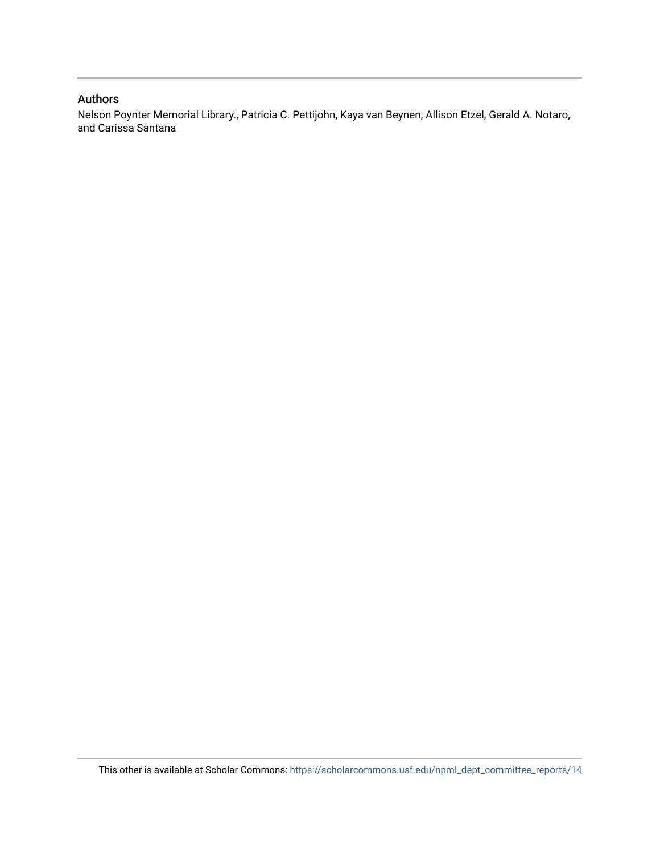## Authors

Nelson Poynter Memorial Library., Patricia C. Pettijohn, Kaya van Beynen, Allison Etzel, Gerald A. Notaro, and Carissa Santana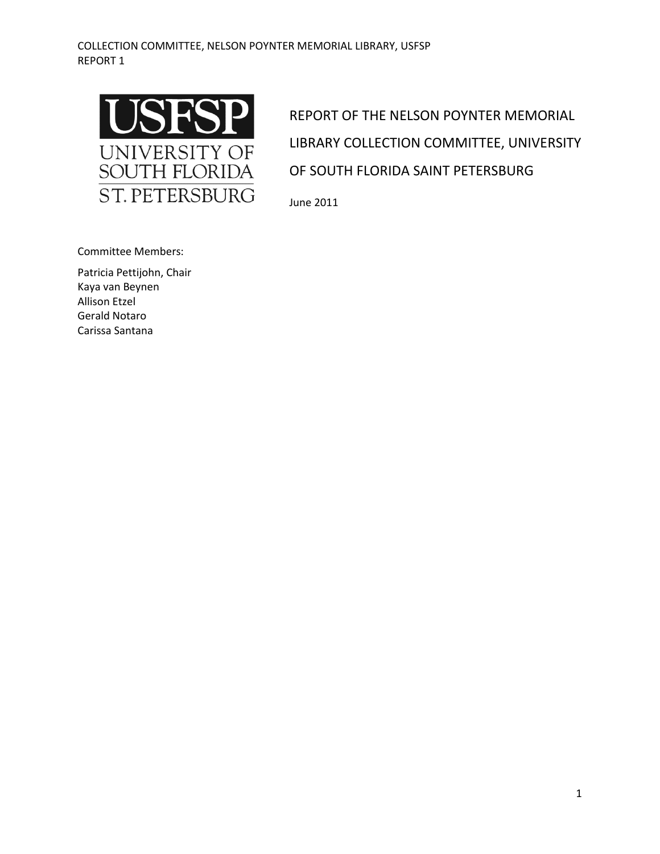

REPORT OF THE NELSON POYNTER MEMORIAL LIBRARY COLLECTION COMMITTEE, UNIVERSITY OF SOUTH FLORIDA SAINT PETERSBURG

June 2011

Committee Members:

Patricia Pettijohn, Chair Kaya van Beynen Allison Etzel Gerald Notaro Carissa Santana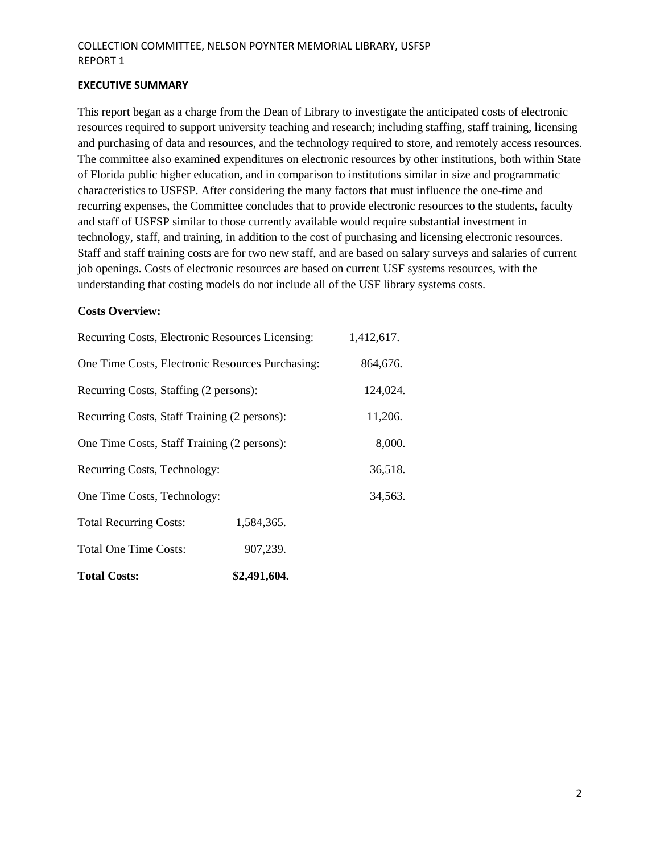#### **EXECUTIVE SUMMARY**

This report began as a charge from the Dean of Library to investigate the anticipated costs of electronic resources required to support university teaching and research; including staffing, staff training, licensing and purchasing of data and resources, and the technology required to store, and remotely access resources. The committee also examined expenditures on electronic resources by other institutions, both within State of Florida public higher education, and in comparison to institutions similar in size and programmatic characteristics to USFSP. After considering the many factors that must influence the one-time and recurring expenses, the Committee concludes that to provide electronic resources to the students, faculty and staff of USFSP similar to those currently available would require substantial investment in technology, staff, and training, in addition to the cost of purchasing and licensing electronic resources. Staff and staff training costs are for two new staff, and are based on salary surveys and salaries of current job openings. Costs of electronic resources are based on current USF systems resources, with the understanding that costing models do not include all of the USF library systems costs.

## **Costs Overview:**

| Recurring Costs, Electronic Resources Licensing: |              | 1,412,617. |
|--------------------------------------------------|--------------|------------|
| One Time Costs, Electronic Resources Purchasing: |              | 864,676.   |
| Recurring Costs, Staffing (2 persons):           |              | 124,024.   |
| Recurring Costs, Staff Training (2 persons):     |              | 11,206.    |
| One Time Costs, Staff Training (2 persons):      |              | 8,000.     |
| Recurring Costs, Technology:                     |              | 36,518.    |
| One Time Costs, Technology:                      |              | 34,563.    |
| <b>Total Recurring Costs:</b>                    | 1,584,365.   |            |
| <b>Total One Time Costs:</b>                     | 907,239.     |            |
| <b>Total Costs:</b>                              | \$2,491,604. |            |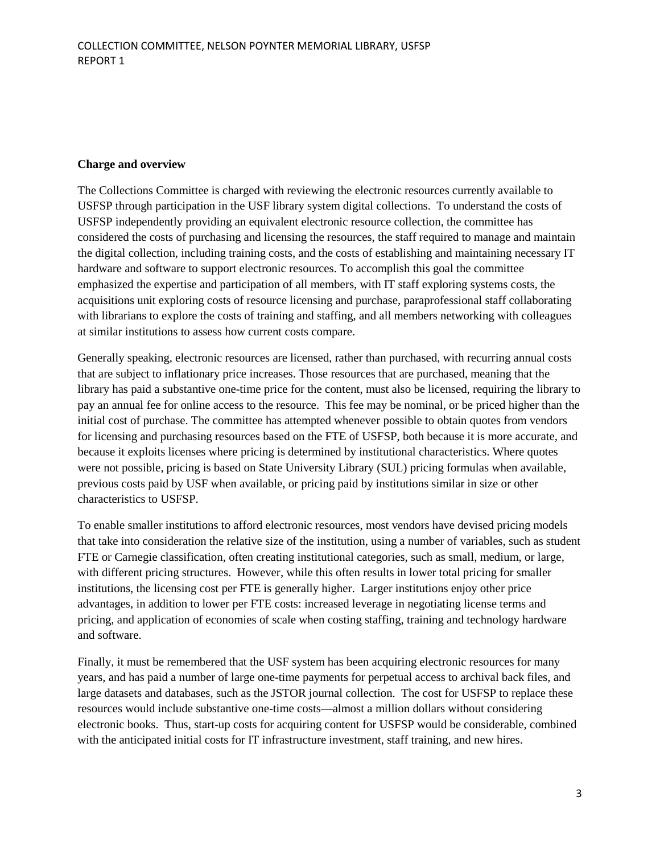## **Charge and overview**

The Collections Committee is charged with reviewing the electronic resources currently available to USFSP through participation in the USF library system digital collections. To understand the costs of USFSP independently providing an equivalent electronic resource collection, the committee has considered the costs of purchasing and licensing the resources, the staff required to manage and maintain the digital collection, including training costs, and the costs of establishing and maintaining necessary IT hardware and software to support electronic resources. To accomplish this goal the committee emphasized the expertise and participation of all members, with IT staff exploring systems costs, the acquisitions unit exploring costs of resource licensing and purchase, paraprofessional staff collaborating with librarians to explore the costs of training and staffing, and all members networking with colleagues at similar institutions to assess how current costs compare.

Generally speaking, electronic resources are licensed, rather than purchased, with recurring annual costs that are subject to inflationary price increases. Those resources that are purchased, meaning that the library has paid a substantive one-time price for the content, must also be licensed, requiring the library to pay an annual fee for online access to the resource. This fee may be nominal, or be priced higher than the initial cost of purchase. The committee has attempted whenever possible to obtain quotes from vendors for licensing and purchasing resources based on the FTE of USFSP, both because it is more accurate, and because it exploits licenses where pricing is determined by institutional characteristics. Where quotes were not possible, pricing is based on State University Library (SUL) pricing formulas when available, previous costs paid by USF when available, or pricing paid by institutions similar in size or other characteristics to USFSP.

To enable smaller institutions to afford electronic resources, most vendors have devised pricing models that take into consideration the relative size of the institution, using a number of variables, such as student FTE or Carnegie classification, often creating institutional categories, such as small, medium, or large, with different pricing structures. However, while this often results in lower total pricing for smaller institutions, the licensing cost per FTE is generally higher. Larger institutions enjoy other price advantages, in addition to lower per FTE costs: increased leverage in negotiating license terms and pricing, and application of economies of scale when costing staffing, training and technology hardware and software.

Finally, it must be remembered that the USF system has been acquiring electronic resources for many years, and has paid a number of large one-time payments for perpetual access to archival back files, and large datasets and databases, such as the JSTOR journal collection. The cost for USFSP to replace these resources would include substantive one-time costs—almost a million dollars without considering electronic books. Thus, start-up costs for acquiring content for USFSP would be considerable, combined with the anticipated initial costs for IT infrastructure investment, staff training, and new hires.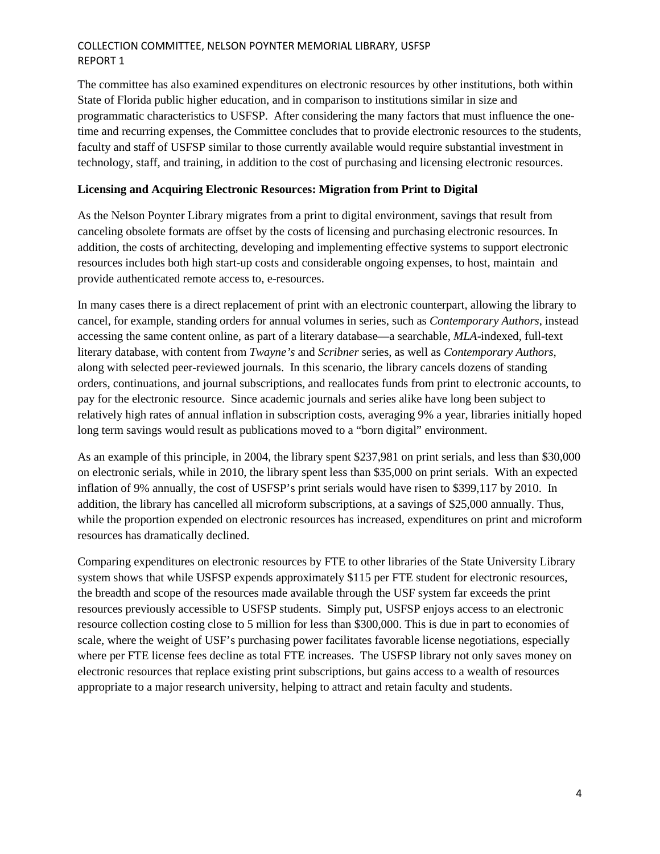The committee has also examined expenditures on electronic resources by other institutions, both within State of Florida public higher education, and in comparison to institutions similar in size and programmatic characteristics to USFSP. After considering the many factors that must influence the onetime and recurring expenses, the Committee concludes that to provide electronic resources to the students, faculty and staff of USFSP similar to those currently available would require substantial investment in technology, staff, and training, in addition to the cost of purchasing and licensing electronic resources.

## **Licensing and Acquiring Electronic Resources: Migration from Print to Digital**

As the Nelson Poynter Library migrates from a print to digital environment, savings that result from canceling obsolete formats are offset by the costs of licensing and purchasing electronic resources. In addition, the costs of architecting, developing and implementing effective systems to support electronic resources includes both high start-up costs and considerable ongoing expenses, to host, maintain and provide authenticated remote access to, e-resources.

In many cases there is a direct replacement of print with an electronic counterpart, allowing the library to cancel, for example, standing orders for annual volumes in series, such as *Contemporary Authors*, instead accessing the same content online, as part of a literary database—a searchable, *MLA*-indexed, full-text literary database, with content from *Twayne's* and *Scribner* series, as well as *Contemporary Authors*, along with selected peer-reviewed journals. In this scenario, the library cancels dozens of standing orders, continuations, and journal subscriptions, and reallocates funds from print to electronic accounts, to pay for the electronic resource. Since academic journals and series alike have long been subject to relatively high rates of annual inflation in subscription costs, averaging 9% a year, libraries initially hoped long term savings would result as publications moved to a "born digital" environment.

As an example of this principle, in 2004, the library spent \$237,981 on print serials, and less than \$30,000 on electronic serials, while in 2010, the library spent less than \$35,000 on print serials. With an expected inflation of 9% annually, the cost of USFSP's print serials would have risen to \$399,117 by 2010. In addition, the library has cancelled all microform subscriptions, at a savings of \$25,000 annually. Thus, while the proportion expended on electronic resources has increased, expenditures on print and microform resources has dramatically declined.

Comparing expenditures on electronic resources by FTE to other libraries of the State University Library system shows that while USFSP expends approximately \$115 per FTE student for electronic resources, the breadth and scope of the resources made available through the USF system far exceeds the print resources previously accessible to USFSP students. Simply put, USFSP enjoys access to an electronic resource collection costing close to 5 million for less than \$300,000. This is due in part to economies of scale, where the weight of USF's purchasing power facilitates favorable license negotiations, especially where per FTE license fees decline as total FTE increases. The USFSP library not only saves money on electronic resources that replace existing print subscriptions, but gains access to a wealth of resources appropriate to a major research university, helping to attract and retain faculty and students.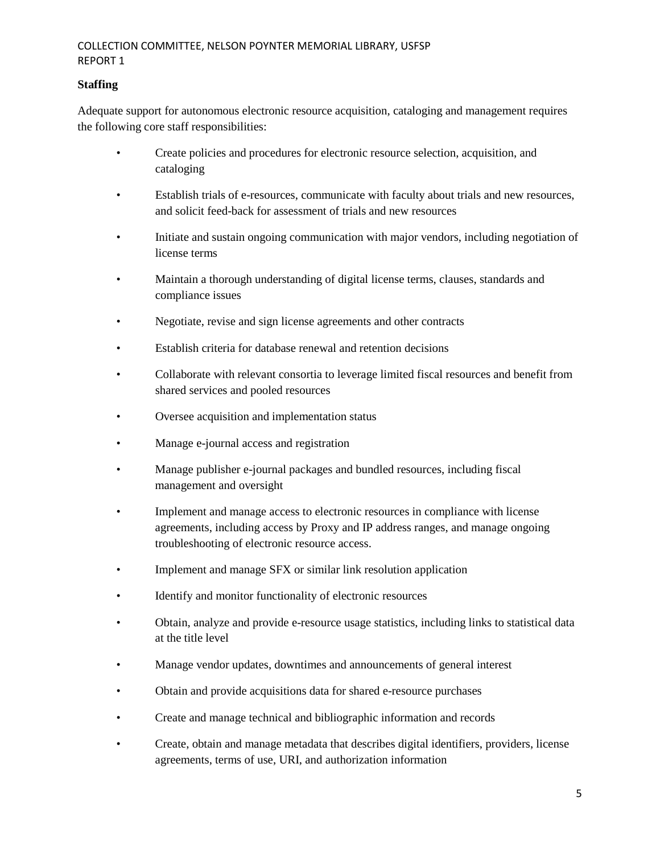# **Staffing**

Adequate support for autonomous electronic resource acquisition, cataloging and management requires the following core staff responsibilities:

- Create policies and procedures for electronic resource selection, acquisition, and cataloging
- Establish trials of e-resources, communicate with faculty about trials and new resources, and solicit feed-back for assessment of trials and new resources
- Initiate and sustain ongoing communication with major vendors, including negotiation of license terms
- Maintain a thorough understanding of digital license terms, clauses, standards and compliance issues
- Negotiate, revise and sign license agreements and other contracts
- Establish criteria for database renewal and retention decisions
- Collaborate with relevant consortia to leverage limited fiscal resources and benefit from shared services and pooled resources
- Oversee acquisition and implementation status
- Manage e-journal access and registration
- Manage publisher e-journal packages and bundled resources, including fiscal management and oversight
- Implement and manage access to electronic resources in compliance with license agreements, including access by Proxy and IP address ranges, and manage ongoing troubleshooting of electronic resource access.
- Implement and manage SFX or similar link resolution application
- Identify and monitor functionality of electronic resources
- Obtain, analyze and provide e-resource usage statistics, including links to statistical data at the title level
- Manage vendor updates, downtimes and announcements of general interest
- Obtain and provide acquisitions data for shared e-resource purchases
- Create and manage technical and bibliographic information and records
- Create, obtain and manage metadata that describes digital identifiers, providers, license agreements, terms of use, URI, and authorization information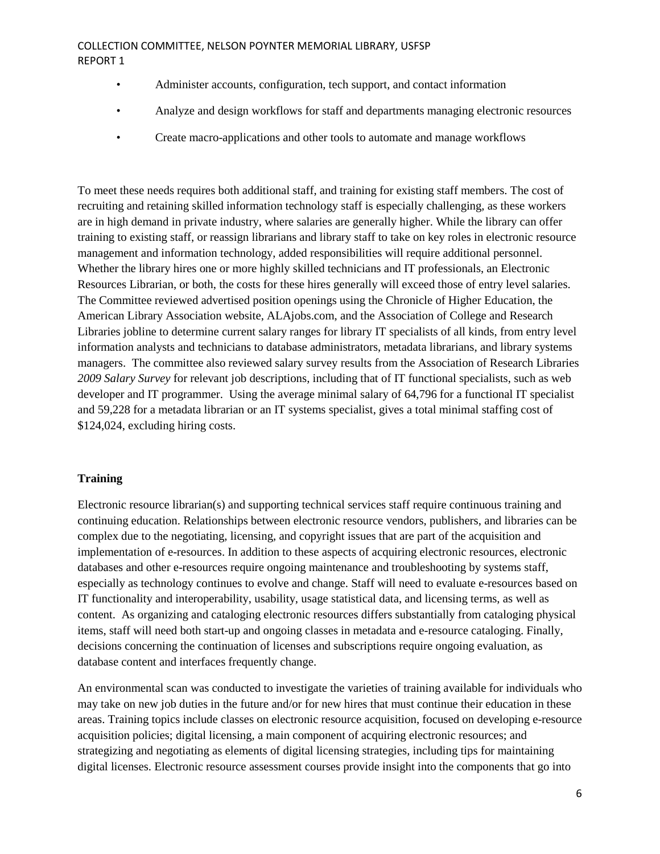- Administer accounts, configuration, tech support, and contact information
- Analyze and design workflows for staff and departments managing electronic resources
- Create macro-applications and other tools to automate and manage workflows

To meet these needs requires both additional staff, and training for existing staff members. The cost of recruiting and retaining skilled information technology staff is especially challenging, as these workers are in high demand in private industry, where salaries are generally higher. While the library can offer training to existing staff, or reassign librarians and library staff to take on key roles in electronic resource management and information technology, added responsibilities will require additional personnel. Whether the library hires one or more highly skilled technicians and IT professionals, an Electronic Resources Librarian, or both, the costs for these hires generally will exceed those of entry level salaries. The Committee reviewed advertised position openings using the Chronicle of Higher Education, the American Library Association website, ALAjobs.com, and the Association of College and Research Libraries jobline to determine current salary ranges for library IT specialists of all kinds, from entry level information analysts and technicians to database administrators, metadata librarians, and library systems managers. The committee also reviewed salary survey results from the Association of Research Libraries *2009 Salary Survey* for relevant job descriptions, including that of IT functional specialists, such as web developer and IT programmer. Using the average minimal salary of 64,796 for a functional IT specialist and 59,228 for a metadata librarian or an IT systems specialist, gives a total minimal staffing cost of \$124,024, excluding hiring costs.

## **Training**

Electronic resource librarian(s) and supporting technical services staff require continuous training and continuing education. Relationships between electronic resource vendors, publishers, and libraries can be complex due to the negotiating, licensing, and copyright issues that are part of the acquisition and implementation of e-resources. In addition to these aspects of acquiring electronic resources, electronic databases and other e-resources require ongoing maintenance and troubleshooting by systems staff, especially as technology continues to evolve and change. Staff will need to evaluate e-resources based on IT functionality and interoperability, usability, usage statistical data, and licensing terms, as well as content. As organizing and cataloging electronic resources differs substantially from cataloging physical items, staff will need both start-up and ongoing classes in metadata and e-resource cataloging. Finally, decisions concerning the continuation of licenses and subscriptions require ongoing evaluation, as database content and interfaces frequently change.

An environmental scan was conducted to investigate the varieties of training available for individuals who may take on new job duties in the future and/or for new hires that must continue their education in these areas. Training topics include classes on electronic resource acquisition, focused on developing e-resource acquisition policies; digital licensing, a main component of acquiring electronic resources; and strategizing and negotiating as elements of digital licensing strategies, including tips for maintaining digital licenses. Electronic resource assessment courses provide insight into the components that go into